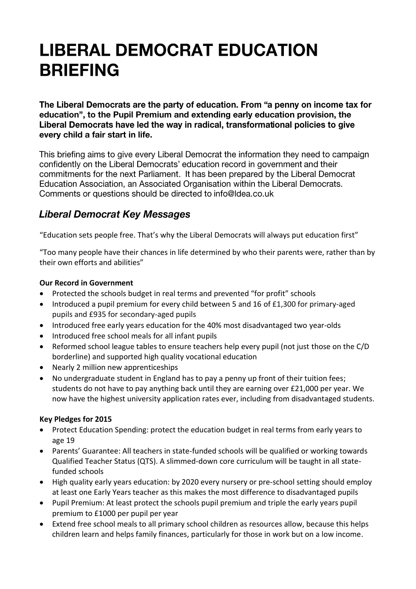# **LIBERAL DEMOCRAT EDUCATION BRIEFING**

The Liberal Democrats are the party of education. From "a penny on income tax for education", to the Pupil Premium and extending early education provision, the Liberal Democrats have led the way in radical, transformational policies to give every child a fair start in life.

This briefing aims to give every Liberal Democrat the information they need to campaign confidently on the Liberal Democrats' education record in government and their commitments for the next Parliament. It has been prepared by the Liberal Democrat Education Association, an Associated Organisation within the Liberal Democrats. Comments or questions should be directed to info@ldea.co.uk

## **Liberal Democrat Key Messages**

"Education sets people free. That's why the Liberal Democrats will always put education first"

"Too many people have their chances in life determined by who their parents were, rather than by their own efforts and abilities"

#### **Our Record in Government**

- Protected the schools budget in real terms and prevented "for profit" schools
- Introduced a pupil premium for every child between 5 and 16 of £1,300 for primary-aged pupils and £935 for secondary-aged pupils
- Introduced free early years education for the 40% most disadvantaged two year-olds
- Introduced free school meals for all infant pupils
- Reformed school league tables to ensure teachers help every pupil (not just those on the C/D borderline) and supported high quality vocational education
- Nearly 2 million new apprenticeships
- No undergraduate student in England has to pay a penny up front of their tuition fees; students do not have to pay anything back until they are earning over £21,000 per year. We now have the highest university application rates ever, including from disadvantaged students.

### **Key Pledges for 2015**

- Protect Education Spending: protect the education budget in real terms from early years to age 19
- Parents' Guarantee: All teachers in state-funded schools will be qualified or working towards Qualified Teacher Status (QTS). A slimmed-down core curriculum will be taught in all statefunded schools
- High quality early years education: by 2020 every nursery or pre-school setting should employ at least one Early Years teacher as this makes the most difference to disadvantaged pupils
- Pupil Premium: At least protect the schools pupil premium and triple the early years pupil premium to £1000 per pupil per year
- Extend free school meals to all primary school children as resources allow, because this helps children learn and helps family finances, particularly for those in work but on a low income.